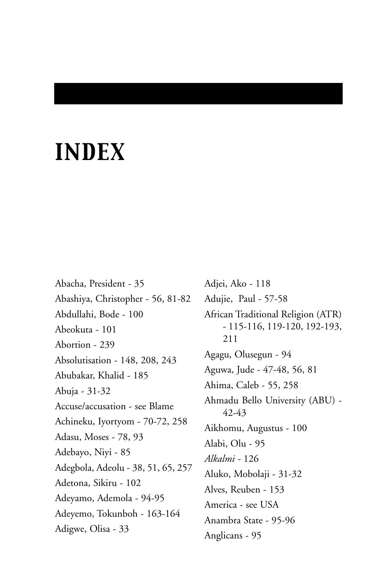# *INDEX*

Abacha, President - 35 Abashiya, Christopher - 56, 81-82 Abdullahi, Bode - 100 Abeokuta - 101 Abortion - 239 Absolutisation - 148, 208, 243 Abubakar, Khalid - 185 Abuja - 31-32 Accuse/accusation - see Blame Achineku, Iyortyom - 70-72, 258 Adasu, Moses - 78, 93 Adebayo, Niyi - 85 Adegbola, Adeolu - 38, 51, 65, 257 Adetona, Sikiru - 102 Adeyamo, Ademola - 94-95 Adeyemo, Tokunboh - 163-164 Adigwe, Olisa - 33

Adjei, Ako - 118 Adujie, Paul - 57-58 African Traditional Religion (ATR) - 115-116, 119-120, 192-193, 211 Agagu, Olusegun - 94 Aguwa, Jude - 47-48, 56, 81 Ahima, Caleb - 55, 258 Ahmadu Bello University (ABU) - 42-43 Aikhomu, Augustus - 100 Alabi, Olu - 95 *Alkalmi -* 126 Aluko, Mobolaji - 31-32 Alves, Reuben - 153 America - see USA Anambra State - 95-96 Anglicans - 95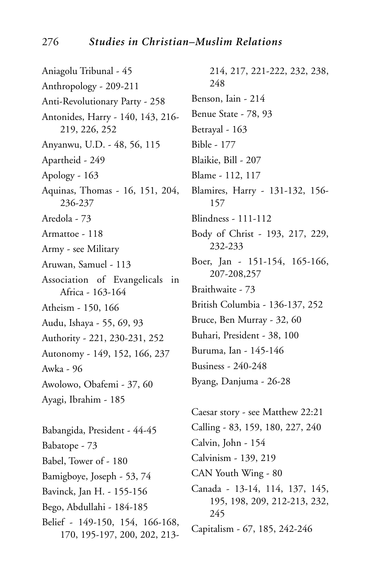Aniagolu Tribunal - 45 Anthropology - 209-211 Anti-Revolutionary Party - 258 Antonides, Harry - 140, 143, 216- 219, 226, 252 Anyanwu, U.D. - 48, 56, 115 Apartheid - 249 Apology - 163 Aquinas, Thomas - 16, 151, 204, 236-237 Aredola - 73 Armattoe - 118 Army - see Military Aruwan, Samuel - 113 Association of Evangelicals in Africa - 163-164 Atheism - 150, 166 Audu, Ishaya - 55, 69, 93 Authority - 221, 230-231, 252 Autonomy - 149, 152, 166, 237 Awka - 96 Awolowo, Obafemi - 37, 60 Ayagi, Ibrahim - 185 Babangida, President - 44-45 Babatope - 73 Babel, Tower of - 180 Bamigboye, Joseph - 53, 74 Bavinck, Jan H. - 155-156 Bego, Abdullahi - 184-185 Belief - 149-150, 154, 166-168, 170, 195-197, 200, 202, 213-

214, 217, 221-222, 232, 238, 248 Benson, Iain - 214 Benue State - 78, 93 Betrayal - 163 Bible - 177 Blaikie, Bill - 207 Blame - 112, 117 Blamires, Harry - 131-132, 156- 157 Blindness - 111-112 Body of Christ - 193, 217, 229, 232-233 Boer, Jan - 151-154, 165-166, 207-208,257 Braithwaite - 73 British Columbia - 136-137, 252 Bruce, Ben Murray - 32, 60 Buhari, President - 38, 100 Buruma, Ian - 145-146 Business - 240-248 Byang, Danjuma - 26-28

Caesar story - see Matthew 22:21 Calling - 83, 159, 180, 227, 240 Calvin, John - 154 Calvinism - 139, 219 CAN Youth Wing - 80 Canada - 13-14, 114, 137, 145, 195, 198, 209, 212-213, 232, 245 Capitalism - 67, 185, 242-246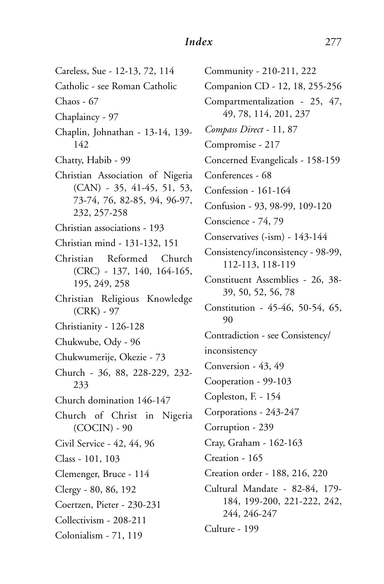Careless, Sue - 12-13, 72, 114 Catholic - see Roman Catholic Chaos - 67 Chaplaincy - 97 Chaplin, Johnathan - 13-14, 139- 142 Chatty, Habib - 99 Christian Association of Nigeria (CAN) - 35, 41-45, 51, 53, 73-74, 76, 82-85, 94, 96-97, 232, 257-258 Christian associations - 193 Christian mind - 131-132, 151 Christian Reformed Church (CRC) - 137, 140, 164-165, 195, 249, 258 Christian Religious Knowledge (CRK) - 97 Christianity - 126-128 Chukwube, Ody - 96 Chukwumerije, Okezie - 73 Church - 36, 88, 228-229, 232- 233 Church domination 146-147 Church of Christ in Nigeria (COCIN) - 90 Civil Service - 42, 44, 96 Class - 101, 103 Clemenger, Bruce - 114 Clergy - 80, 86, 192 Coertzen, Pieter - 230-231 Collectivism - 208-211 Colonialism - 71, 119

Community - 210-211, 222 Companion CD - 12, 18, 255-256 Compartmentalization - 25, 47, 49, 78, 114, 201, 237 *Compass Direct* - 11, 87 Compromise - 217 Concerned Evangelicals - 158-159 Conferences - 68 Confession - 161-164 Confusion - 93, 98-99, 109-120 Conscience - 74, 79 Conservatives (-ism) - 143-144 Consistency/inconsistency - 98-99, 112-113, 118-119 Constituent Assemblies - 26, 38- 39, 50, 52, 56, 78 Constitution - 45-46, 50-54, 65, 90 Contradiction - see Consistency/ inconsistency Conversion - 43, 49 Cooperation - 99-103 Copleston, F. - 154 Corporations - 243-247 Corruption - 239 Cray, Graham - 162-163 Creation - 165 Creation order - 188, 216, 220 Cultural Mandate - 82-84, 179- 184, 199-200, 221-222, 242, 244, 246-247 Culture - 199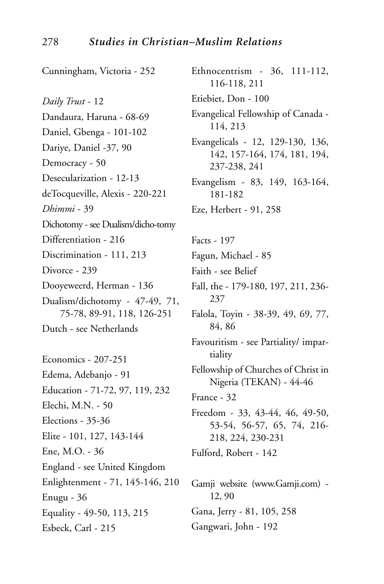Cunningham, Victoria - 252 *Daily Trust* - 12 Dandaura, Haruna - 68-69 Daniel, Gbenga - 101-102 Dariye, Daniel -37, 90 Democracy - 50 Desecularization - 12-13 deTocqueville, Alexis - 220-221 *Dhimmi* - 39 Dichotomy - see Dualism/dicho-tomy Differentiation - 216 Discrimination - 111, 213 Divorce - 239 Dooyeweerd, Herman - 136 Dualism/dichotomy - 47-49, 71, 75-78, 89-91, 118, 126-251 Dutch - see Netherlands Economics - 207-251 Edema, Adebanjo - 91 Education - 71-72, 97, 119, 232 Elechi, M.N. - 50 Elections - 35-36 Elite - 101, 127, 143-144 Ene, M.O. - 36 England - see United Kingdom Enlightenment - 71, 145-146, 210 Enugu - 36 Equality - 49-50, 113, 215 Esbeck, Carl - 215

Ethnocentrism - 36, 111-112, 116-118, 211 Etiebiet, Don - 100 Evangelical Fellowship of Canada - 114, 213 Evangelicals - 12, 129-130, 136, 142, 157-164, 174, 181, 194, 237-238, 241 Evangelism - 83, 149, 163-164, 181-182 Eze, Herbert - 91, 258 Facts - 197 Fagun, Michael - 85 Faith - see Belief Fall, the - 179-180, 197, 211, 236- 237 Falola, Toyin - 38-39, 49, 69, 77, 84, 86 Favouritism - see Partiality/ impartiality Fellowship of Churches of Christ in Nigeria (TEKAN) - 44-46 France - 32 Freedom - 33, 43-44, 46, 49-50, 53-54, 56-57, 65, 74, 216- 218, 224, 230-231 Fulford, Robert - 142 Gamji website (www.Gamji.com) - 12, 90 Gana, Jerry - 81, 105, 258

Gangwari, John - 192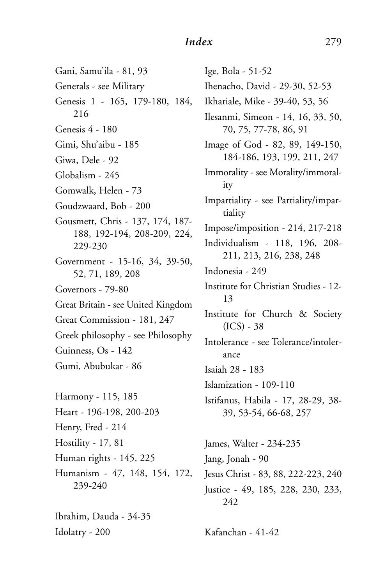Gani, Samu'ila - 81, 93 Generals - see Military Genesis 1 - 165, 179-180, 184, 216 Genesis 4 - 180 Gimi, Shu'aibu - 185 Giwa, Dele - 92 Globalism - 245 Gomwalk, Helen - 73 Goudzwaard, Bob - 200 Gousmett, Chris - 137, 174, 187- 188, 192-194, 208-209, 224, 229-230 Government - 15-16, 34, 39-50, 52, 71, 189, 208 Governors - 79-80 Great Britain - see United Kingdom Great Commission - 181, 247 Greek philosophy - see Philosophy Guinness, Os - 142 Gumi, Abubukar - 86 Harmony - 115, 185

Heart - 196-198, 200-203 Henry, Fred - 214 Hostility - 17, 81 Human rights - 145, 225 Humanism - 47, 148, 154, 172, 239-240

Ibrahim, Dauda - 34-35 Idolatry - 200

Ige, Bola - 51-52 Ihenacho, David - 29-30, 52-53 Ikhariale, Mike - 39-40, 53, 56 Ilesanmi, Simeon - 14, 16, 33, 50, 70, 75, 77-78, 86, 91 Image of God - 82, 89, 149-150, 184-186, 193, 199, 211, 247 Immorality - see Morality/immorality Impartiality - see Partiality/impartiality Impose/imposition - 214, 217-218 Individualism - 118, 196, 208- 211, 213, 216, 238, 248 Indonesia - 249 Institute for Christian Studies - 12- 13 Institute for Church & Society  $(ICS) - 38$ Intolerance - see Tolerance/intolerance Isaiah 28 - 183 Islamization - 109-110 Istifanus, Habila - 17, 28-29, 38- 39, 53-54, 66-68, 257 James, Walter - 234-235 Jang, Jonah - 90 Jesus Christ - 83, 88, 222-223, 240 Justice - 49, 185, 228, 230, 233, 242

Kafanchan - 41-42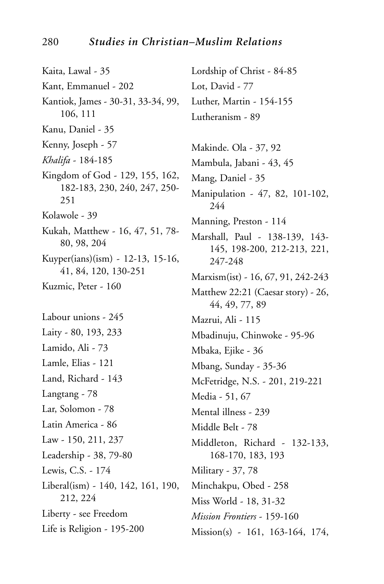Kaita, Lawal - 35 Kant, Emmanuel - 202 Kantiok, James - 30-31, 33-34, 99, 106, 111 Kanu, Daniel - 35 Kenny, Joseph - 57 Khalifa - 184-185 Kingdom of God - 129, 155, 162, 182-183, 230, 240, 247, 250-251 Kolawole - 39 Kukah, Matthew - 16, 47, 51, 78-80, 98, 204 Kuyper(ians)(ism) - 12-13, 15-16, 41, 84, 120, 130-251 Kuzmic, Peter - 160 Labour unions - 245 Laity - 80, 193, 233 Lamido, Ali - 73 Lamle, Elias - 121 Land, Richard - 143 Langtang - 78 Lar, Solomon - 78 Latin America - 86 Law - 150, 211, 237 Leadership - 38, 79-80 Lewis, C.S. - 174 Liberal(ism) - 140, 142, 161, 190, 212, 224 Liberty - see Freedom Life is Religion - 195-200

Lordship of Christ - 84-85 Lot, David - 77 Luther, Martin - 154-155 Lutheranism - 89 Makinde. Ola - 37, 92 Mambula, Jabani - 43, 45 Mang, Daniel - 35 Manipulation - 47, 82, 101-102, 244 Manning, Preston - 114 Marshall, Paul - 138-139, 143-145, 198-200, 212-213, 221, 247-248 Marxism(ist) - 16, 67, 91, 242-243 Matthew 22:21 (Caesar story) - 26, 44, 49, 77, 89 Mazrui, Ali - 115 Mbadinuju, Chinwoke - 95-96 Mbaka, Ejike - 36 Mbang, Sunday - 35-36 McFetridge, N.S. - 201, 219-221 Media - 51, 67 Mental illness - 239 Middle Belt - 78 Middleton, Richard - 132-133, 168-170, 183, 193 Military - 37, 78 Minchakpu, Obed - 258 Miss World - 18, 31-32 Mission Frontiers - 159-160 Mission(s) - 161, 163-164, 174,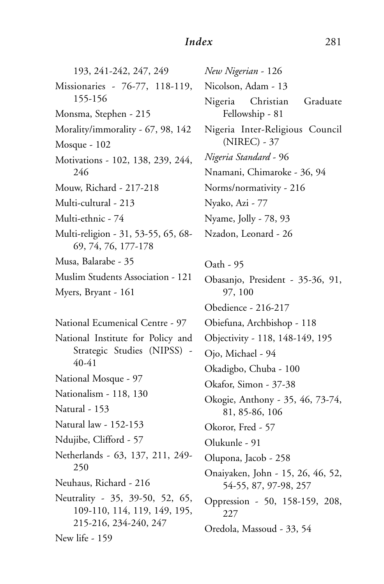193, 241-242, 247, 249 Missionaries - 76-77, 118-119, 155-156 Monsma, Stephen - 215 Morality/immorality - 67, 98, 142 Mosque - 102 Motivations - 102, 138, 239, 244, 246 Mouw, Richard - 217-218 Multi-cultural - 213 Multi-ethnic - 74 Multi-religion - 31, 53-55, 65, 68- 69, 74, 76, 177-178 Musa, Balarabe - 35 Muslim Students Association - 121 Myers, Bryant - 161 National Ecumenical Centre - 97 National Institute for Policy and Strategic Studies (NIPSS) - 40-41 National Mosque - 97 Nationalism - 118, 130 Natural - 153 Natural law - 152-153 Ndujibe, Clifford - 57 Netherlands - 63, 137, 211, 249- 250 Neuhaus, Richard - 216 Neutrality - 35, 39-50, 52, 65, 109-110, 114, 119, 149, 195, 215-216, 234-240, 247 New life - 159

*New Nigerian* - 126 Nicolson, Adam - 13 Nigeria Christian Graduate Fellowship - 81 Nigeria Inter-Religious Council (NIREC) - 37 *Nigeria Standard* - 96 Nnamani, Chimaroke - 36, 94 Norms/normativity - 216 Nyako, Azi - 77 Nyame, Jolly - 78, 93 Nzadon, Leonard - 26 Oath - 95 Obasanjo, President - 35-36, 91, 97, 100 Obedience - 216-217 Obiefuna, Archbishop - 118 Objectivity - 118, 148-149, 195 Ojo, Michael - 94 Okadigbo, Chuba - 100 Okafor, Simon - 37-38 Okogie, Anthony - 35, 46, 73-74, 81, 85-86, 106 Okoror, Fred - 57 Olukunle - 91 Olupona, Jacob - 258 Onaiyaken, John - 15, 26, 46, 52, 54-55, 87, 97-98, 257 Oppression - 50, 158-159, 208, 227 Oredola, Massoud - 33, 54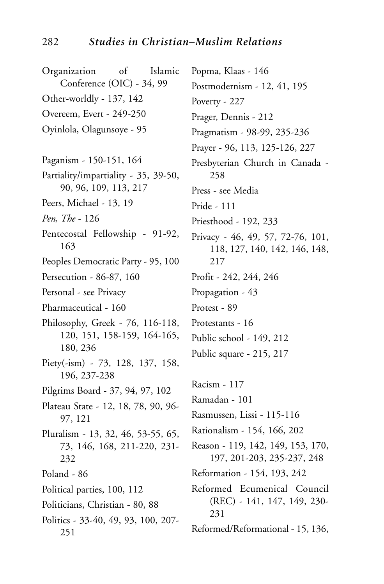Organization of Islamic Conference (OIC) - 34, 99 Other-worldly - 137, 142 Overeem, Evert - 249-250 Oyinlola, Olagunsoye - 95 Paganism - 150-151, 164 Partiality/impartiality - 35, 39-50, 90, 96, 109, 113, 217 Peers, Michael - 13, 19 *Pen, The* - 126 Pentecostal Fellowship - 91-92, 163 Peoples Democratic Party - 95, 100 Persecution - 86-87, 160 Personal - see Privacy Pharmaceutical - 160 Philosophy, Greek - 76, 116-118, 120, 151, 158-159, 164-165, 180, 236 Piety(-ism) - 73, 128, 137, 158, 196, 237-238 Pilgrims Board - 37, 94, 97, 102 Plateau State - 12, 18, 78, 90, 96- 97, 121 Pluralism - 13, 32, 46, 53-55, 65, 73, 146, 168, 211-220, 231- 232 Poland - 86 Political parties, 100, 112 Politicians, Christian - 80, 88 Politics - 33-40, 49, 93, 100, 207- 251 Popma, Klaas - 146 Postmodernism - 12, 41, 195 Poverty - 227 Prager, Dennis - 212 Pragmatism - 98-99, 235-236 Prayer - 96, 113, 125-126, 227 Presbyterian Church in Canada - 258 Press - see Media Pride - 111 Priesthood - 192, 233 Privacy - 46, 49, 57, 72-76, 101, 118, 127, 140, 142, 146, 148, 217 Profit - 242, 244, 246 Propagation - 43 Protest - 89 Protestants - 16 Public school - 149, 212 Public square - 215, 217 Racism - 117 Ramadan - 101 Rasmussen, Lissi - 115-116 Rationalism - 154, 166, 202 Reason - 119, 142, 149, 153, 170, 197, 201-203, 235-237, 248 Reformation - 154, 193, 242 Reformed Ecumenical Council (REC) - 141, 147, 149, 230- 231 Reformed/Reformational - 15, 136,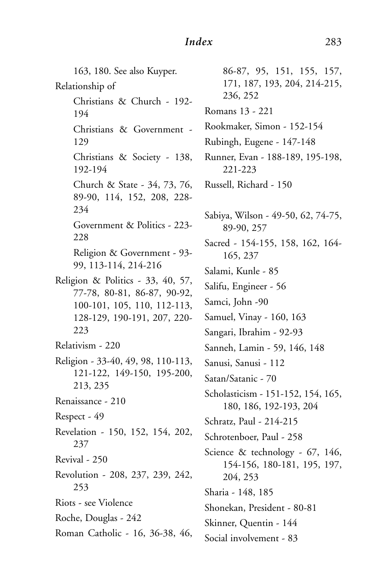163, 180. See also Kuyper. Relationship of Christians & Church - 192- 194 Christians & Government - 129 Christians & Society - 138, 192-194 Church & State - 34, 73, 76, 89-90, 114, 152, 208, 228- 234 Government & Politics - 223- 228 Religion & Government - 93- 99, 113-114, 214-216 Religion & Politics - 33, 40, 57, 77-78, 80-81, 86-87, 90-92, 100-101, 105, 110, 112-113, 128-129, 190-191, 207, 220- 223 Relativism - 220 Religion - 33-40, 49, 98, 110-113, 121-122, 149-150, 195-200, 213, 235 Renaissance - 210 Respect - 49 Revelation - 150, 152, 154, 202, 237 Revival - 250 Revolution - 208, 237, 239, 242, 253 Riots - see Violence Roche, Douglas - 242 Roman Catholic - 16, 36-38, 46,

86-87, 95, 151, 155, 157, 171, 187, 193, 204, 214-215, 236, 252 Romans 13 - 221 Rookmaker, Simon - 152-154 Rubingh, Eugene - 147-148 Runner, Evan - 188-189, 195-198, 221-223 Russell, Richard - 150 Sabiya, Wilson - 49-50, 62, 74-75, 89-90, 257 Sacred - 154-155, 158, 162, 164- 165, 237 Salami, Kunle - 85 Salifu, Engineer - 56 Samci, John -90 Samuel, Vinay - 160, 163 Sangari, Ibrahim - 92-93 Sanneh, Lamin - 59, 146, 148 Sanusi, Sanusi - 112 Satan/Satanic - 70 Scholasticism - 151-152, 154, 165, 180, 186, 192-193, 204 Schratz, Paul - 214-215 Schrotenboer, Paul - 258 Science & technology - 67, 146, 154-156, 180-181, 195, 197, 204, 253 Sharia - 148, 185 Shonekan, President - 80-81 Skinner, Quentin - 144 Social involvement - 83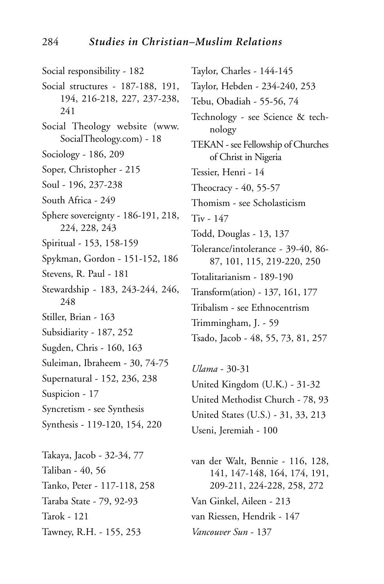Social responsibility - 182 Social structures - 187-188, 191, 194, 216-218, 227, 237-238, 241 Social Theology website (www. SocialTheology.com) - 18 Sociology - 186, 209 Soper, Christopher - 215 Soul - 196, 237-238 South Africa - 249 Sphere sovereignty - 186-191, 218, 224, 228, 243 Spiritual - 153, 158-159 Spykman, Gordon - 151-152, 186 Stevens, R. Paul - 181 Stewardship - 183, 243-244, 246, 248 Stiller, Brian - 163 Subsidiarity - 187, 252 Sugden, Chris - 160, 163 Suleiman, Ibraheem - 30, 74-75 Supernatural - 152, 236, 238 Suspicion - 17 Syncretism - see Synthesis Synthesis - 119-120, 154, 220 Takaya, Jacob - 32-34, 77 Taliban - 40, 56

Tanko, Peter - 117-118, 258 Taraba State - 79, 92-93 Tarok - 121 Tawney, R.H. - 155, 253

Taylor, Charles - 144-145 Taylor, Hebden - 234-240, 253 Tebu, Obadiah - 55-56, 74 Technology - see Science & technology TEKAN - see Fellowship of Churches of Christ in Nigeria Tessier, Henri - 14 Theocracy - 40, 55-57 Thomism - see Scholasticism Tiv - 147 Todd, Douglas - 13, 137 Tolerance/intolerance - 39-40, 86- 87, 101, 115, 219-220, 250 Totalitarianism - 189-190 Transform(ation) - 137, 161, 177 Tribalism - see Ethnocentrism Trimmingham, J. - 59 Tsado, Jacob - 48, 55, 73, 81, 257

*Ulama* - 30-31 United Kingdom (U.K.) - 31-32 United Methodist Church - 78, 93 United States (U.S.) - 31, 33, 213 Useni, Jeremiah - 100

van der Walt, Bennie - 116, 128, 141, 147-148, 164, 174, 191, 209-211, 224-228, 258, 272 Van Ginkel, Aileen - 213 van Riessen, Hendrik - 147 *Vancouver Sun* - 137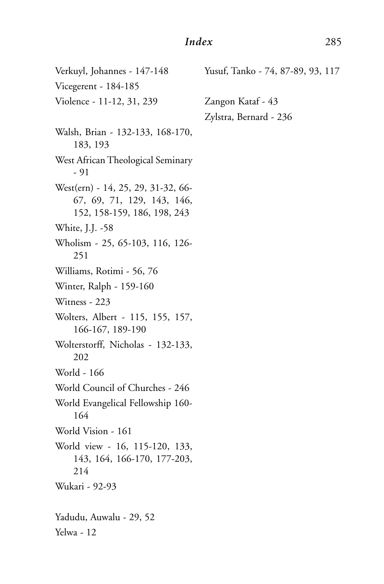Verkuyl, Johannes - 147-148 Vicegerent - 184-185 Violence - 11-12, 31, 239 Walsh, Brian - 132-133, 168-170, 183, 193 West African Theological Seminary - 91 West(ern) - 14, 25, 29, 31-32, 66- 67, 69, 71, 129, 143, 146, 152, 158-159, 186, 198, 243 White, J.J. -58 Wholism - 25, 65-103, 116, 126- 251 Williams, Rotimi - 56, 76 Winter, Ralph - 159-160 Witness - 223 Wolters, Albert - 115, 155, 157, 166-167, 189-190 Wolterstorff, Nicholas - 132-133, 202 World - 166 World Council of Churches - 246 World Evangelical Fellowship 160- 164 World Vision - 161 World view - 16, 115-120, 133, 143, 164, 166-170, 177-203, 214 Wukari - 92-93 Yadudu, Auwalu - 29, 52 Yelwa - 12 Yusuf, Tanko - 74, 87-89, 93, 117 Zangon Kataf - 43 Zylstra, Bernard - 236